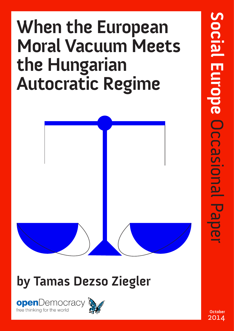# **When the European Moral Vacuum Meets the Hungarian Autocratic Regime**



### **by Tamas Dezso Ziegler**





**October** 2014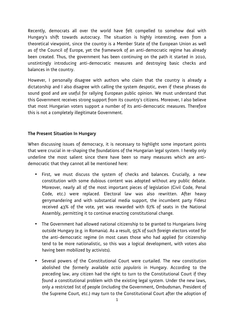Recently, democrats all over the world have felt compelled to somehow deal with Hungary's shift towards autocracy. The situation is highly interesting, even from a theoretical viewpoint, since the country is a Member State of the European Union as well as of the Council of Europe, yet the framework of an anti-democratic regime has already been created. Thus, the government has been continuing on the path it started in 2010, unstintingly introducing anti-democratic measures and destroying basic checks and balances in the country.

However, I personally disagree with authors who claim that the country is already a dictatorship and I also disagree with calling the system despotic, even if these phrases do sound good and are useful for rallying European public opinion. We must understand that this Government receives strong support from its country's citizens. Moreover, I also believe that most Hungarian voters support a number of its anti-democratic measures. Therefore this is not a completely illegitimate Government.

#### **The Present Situation In Hungary**

When discussing issues of democracy, it is necessary to highlight some important points that were crucial in re-shaping the foundations of the Hungarian legal system. I hereby only underline the most salient since there have been so many measures which are antidemocratic that they cannot all be mentioned here:

- First, we must discuss the system of checks and balances. Crucially, a new constitution with some dubious content was adopted without any public debate. Moreover, nearly all of the most important pieces of legislation (Civil Code, Penal Code, etc.) were replaced. Electoral law was also rewritten. After heavy gerrymandering and with substantial media support, the incumbent party Fidesz received 43% of the vote, yet was rewarded with 67% of seats in the National Assembly, permitting it to continue enacting constitutional change.
- The Government had allowed national citizenship to be granted to Hungarians living outside Hungary (e.g. in Romania). As a result, 95% of such foreign electors voted for the anti-democratic regime (in most cases those who had applied for citizenship tend to be more nationalistic, so this was a logical development, with voters also having been mobilized by activists).
- Several powers of the Constitutional Court were curtailed. The new constitution abolished the formerly available *actio popularis* in Hungary. According to the preceding law, any citizen had the right to turn to the Constitutional Court if they found a constitutional problem with the existing legal system. Under the new laws, only a restricted list of people (including the Government, Ombudsman, President of the Supreme Court, etc.) may turn to the Constitutional Court after the adoption of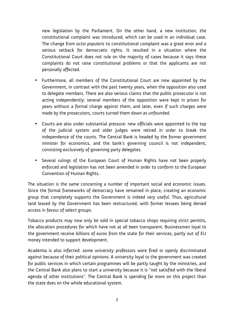new legislation by the Parliament. On the other hand, a new institution, the constitutional complaint was introduced, which can be used in an individual case. The change from *actio popularis* to constitutional complaint was a great error and a serious setback for democratic rights. It resulted in a situation where the Constitutional Court does not rule on the majority of cases because it says these complaints do not raise constitutional problems or that the applicants are not personally affected.

- Furthermore, all members of the Constitutional Court are now appointed by the Government, in contrast with the past twenty years, when the opposition also used to delegate members. There are also serious claims that the public prosecutor is not acting independently: several members of the opposition were kept in prison for years without a formal charge against them, and later, even if such charges were made by the prosecutors, courts turned them down as unfounded.
- Courts are also under substantial pressure: new officials were appointed to the top of the judicial system and older judges were retired in order to break the independence of the courts. The Central Bank is headed by the former government minister for economics, and the bank's governing council is not independent, consisting exclusively of governing party delegates.
- Several rulings of the European Court of Human Rights have not been properly enforced and legislation has not been amended in order to conform to the European Convention of Human Rights.

The situation is the same concerning a number of important social and economic issues. Since the formal frameworks of democracy have remained in place, creating an economic group that completely supports the Government is indeed very useful. Thus, agricultural land leased by the Government has been restructured, with former lessees being denied access in favour of select groups.

Tobacco products may now only be sold in special tobacco shops requiring strict permits, the allocation procedures for which have not at all been transparent. Businessmen loyal to the government receive billions of euros from the state for their services, partly out of EU money intended to support development.

Academia is also infected: some university professors were fired or openly discriminated against because of their political opinions. A university loyal to the government was created for public services in which certain programmes will be partly taught by the ministries, and the Central Bank also plans to start a university because it is "not satisfied with the liberal agenda of other institutions". The Central Bank is spending far more on this project than the state does on the whole educational system.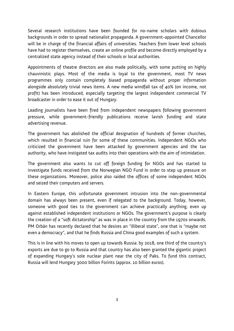Several research institutions have been founded for no-name scholars with dubious backgrounds in order to spread nationalist propaganda. A government-appointed Chancellor will be in charge of the financial affairs of universities. Teachers from lower level schools have had to register themselves, create an online profile and become directly employed by a centralized state agency instead of their schools or local authorities.

Appointments of theatre directors are also made politically, with some putting on highly chauvinistic plays. Most of the media is loyal to the government, most TV news programmes only contain completely biased propaganda without proper information alongside absolutely trivial news items. A new media windfall tax of 40% (on income, not profit) has been introduced, especially targeting the largest independent commercial TV broadcaster in order to ease it out of Hungary.

Leading journalists have been fired from independent newspapers following government pressure, while government-friendly publications receive lavish funding and state advertising revenue.

The government has abolished the official designation of hundreds of former churches, which resulted in financial ruin for some of these communities. Independent NGOs who criticized the government have been attacked by government agencies and the tax authority, who have instigated tax audits into their operations with the aim of intimidation.

The government also wants to cut off foreign funding for NGOs and has started to investigate funds received from the Norwegian NGO Fund in order to step up pressure on these organizations. Moreover, police also raided the offices of some independent NGOs and seized their computers and servers.

In Eastern Europe, this unfortunate government intrusion into the non-governmental domain has always been present, even if relegated to the background. Today, however, someone with good ties to the government can achieve practically anything, even up against established independent institutions or NGOs. The government's purpose is clearly the creation of a "soft dictatorship" as was in place in the country from the 1970s onwards. PM Orbán has recently declared that he desires an "illiberal state", one that is "maybe not even a democracy", and that he finds Russia and China good examples of such a system.

This is in line with his moves to open up towards Russia: by 2018, one third of the country's exports are due to go to Russia and that country has also been granted the gigantic project of expanding Hungary's sole nuclear plant near the city of Paks. To fund this contract, Russia will lend Hungary 3000 billion Forints (approx. 10 billion euros).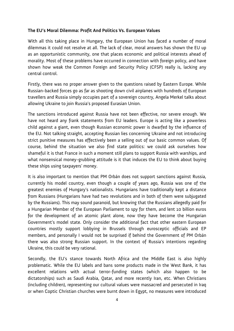#### **The EU's Moral Dilemma: Profit And Politics Vs. European Values**

With all this taking place in Hungary, the European Union has faced a number of moral dilemmas it could not resolve at all. The lack of clear, moral answers has shown the EU up as an opportunistic community, one that places economic and political interests ahead of morality. Most of these problems have occurred in connection with foreign policy, and have shown how weak the Common Foreign and Security Policy (CFSP) really is, lacking any central control.

Firstly, there was no proper answer given to the questions raised by Eastern Europe. While Russian-backed forces go as far as shooting down civil airplanes with hundreds of European travellers and Russia simply occupies part of a sovereign country, Angela Merkel talks about allowing Ukraine to join Russia's proposed Eurasian Union.

The sanctions introduced against Russia have not been effective, nor severe enough. We have not heard any frank statements from EU leaders. Europe is acting like a powerless child against a giant, even though Russian economic power is dwarfed by the influence of the EU. Not talking straight, accepting Russian lies concerning Ukraine and not introducing strict punitive measures has effectively been a selling out of our basic common values. Of course, behind the situation we also find state politics: we could ask ourselves how shameful it is that France in such a moment still plans to support Russia with warships, and what nonsensical money-grubbing attitude is it that induces the EU to think about buying these ships using taxpayers' money.

It is also important to mention that PM Orbán does not support sanctions against Russia, currently his model country, even though a couple of years ago, Russia was one of the greatest enemies of Hungary's nationalists. Hungarians have traditionally kept a distance from Russians (Hungarians have had two revolutions and in both of them were subjugated by the Russians). This may sound paranoid, but knowing that the Russians allegedly paid for a Hungarian Member of the European Parliament to spy for them, and lent 10 billion euros for the development of an atomic plant alone, now they have become the Hungarian Government's model state. Only consider the additional fact that other eastern European countries mostly support lobbying in Brussels through eurosceptic officials and EP members, and personally I would not be surprised if behind the Government of PM Orbán there was also strong Russian support. In the context of Russia's intentions regarding Ukraine, this could be very rational.

Secondly, the EU's stance towards North Africa and the Middle East is also highly problematic. While the EU labels and bans some products made in the West Bank, it has excellent relations with actual terror-funding states (which also happen to be dictatorships) such as Saudi Arabia, Qatar, and more recently Iran, etc. When Christians (including children), representing our cultural values were massacred and persecuted in Iraq or when Coptic Christian churches were burnt down in Egypt, no measures were introduced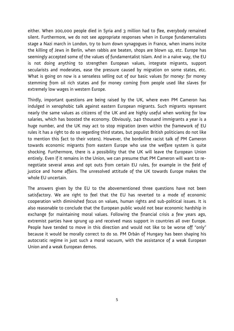either. When 200,000 people died in Syria and 3 million had to flee, everybody remained silent. Furthermore, we do not see appropriate responses when in Europe fundamentalists stage a Nazi march in London, try to burn down synagogues in France, when imams incite the killing of Jews in Berlin, when rabbis are beaten, shops are blown up, etc. Europe has seemingly accepted some of the values of fundamentalist Islam. And in a naïve way, the EU is not doing anything to strengthen European values, integrate migrants, support secularists and moderates, ease the pressure caused by migration on some states, etc. What is going on now is a senseless selling out of our basic values for money: for money stemming from oil rich states and for money coming from people used like slaves for extremely low wages in western Europe.

Thirdly, important questions are being raised by the UK, where even PM Cameron has indulged in xenophobic talk against eastern European migrants. Such migrants represent nearly the same values as citizens of the UK and are highly useful when working for low salaries, which has boosted the economy. Obviously, 240 thousand immigrants a year is a huge number, and the UK may act to stop migration (even within the framework of EU rules it has a right to do so regarding third states, but populist British politicians do not like to mention this fact to their voters). However, the borderline racist talk of PM Cameron towards economic migrants from eastern Europe who use the welfare system is quite shocking. Furthermore, there is a possibility that the UK will leave the European Union entirely. Even if it remains in the Union, we can presume that PM Cameron will want to renegotiate several areas and opt outs from certain EU rules, for example in the field of justice and home affairs. The unresolved attitude of the UK towards Europe makes the whole EU uncertain.

The answers given by the EU to the abovementioned three questions have not been satisfactory. We are right to feel that the EU has reverted to a mode of economic cooperation with diminished focus on values, human rights and sub-political issues. It is also reasonable to conclude that the European public would not bear economic hardship in exchange for maintaining moral values. Following the financial crisis a few years ago, extremist parties have sprung up and received mass support in countries all over Europe. People have tended to move in this direction and would not like to be worse off "only" because it would be morally correct to do so. PM Orbán of Hungary has been shaping his autocratic regime in just such a moral vacuum, with the assistance of a weak European Union and a weak European demos.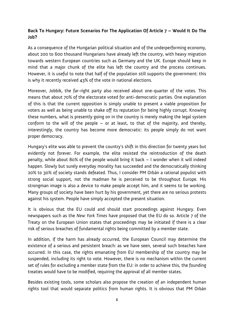#### **Back To Hungary: Future Scenarios For The Application Of Article 7 – Would It Do The Job?**

As a consequence of the Hungarian political situation and of the underperforming economy, about 200 to 600 thousand Hungarians have already left the country, with heavy migration towards western European countries such as Germany and the UK. Europe should keep in mind that a major chunk of the elite has left the country and the process continues. However, it is useful to note that half of the population still supports the government: this is why it recently received 43% of the vote in national elections.

Moreover, Jobbik, the far-right party also received about one-quarter of the votes. This means that about 70% of the electorate voted for anti-democratic parties. One explanation of this is that the current opposition is simply unable to present a viable proposition for voters as well as being unable to shake off its reputation for being highly corrupt. Knowing these numbers, what is presently going on in the country is merely making the legal system conform to the will of the people – or at least, to that of the majority, and thereby, interestingly, the country has become more democratic: its people simply do not want proper democracy.

Hungary's elite was able to prevent the country's shift in this direction for twenty years but evidently not forever. For example, the elite resisted the reintroduction of the death penalty, while about 80% of the people would bring it back – I wonder when it will indeed happen. Slowly but surely everyday morality has succeeded and the democratically thinking 20% to 30% of society stands defeated. Thus, I consider PM Orbán a rational populist with strong social support, not the madman he is perceived to be throughout Europe. His strongman image is also a device to make people accept him, and it seems to be working. Many groups of society have been hurt by his government, yet there are no serious protests against his system. People have simply accepted the present situation.

It is obvious that the EU could and should start proceedings against Hungary. Even newspapers such as the *New York Times* have proposed that the EU do so. Article 7 of the Treaty on the European Union states that proceedings may be initiated if there is a clear risk of serious breaches of fundamental rights being committed by a member state.

In addition, if the harm has already occurred, the European Council may determine the existence of a serious and persistent breach: as we have seen, several such breaches have occurred. In this case, the rights emanating from EU membership of the country may be suspended, including its right to vote. However, there is no mechanism within the current set of rules for excluding a member state from the EU: in order to achieve this, the founding treaties would have to be modified, requiring the approval of all member states.

Besides existing tools, some scholars also propose the creation of an independent human rights tool that would separate politics from human rights. It is obvious that PM Orbán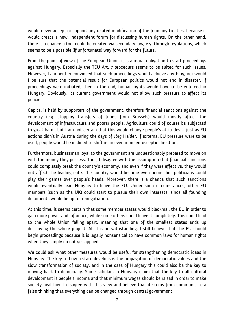would never accept or support any related modification of the founding treaties, because it would create a new, independent forum for discussing human rights. On the other hand, there is a chance a tool could be created via secondary law, e.g. through regulations, which seems to be a possible (if unfortunate) way forward for the future.

From the point of view of the European Union, it is a moral obligation to start proceedings against Hungary. Especially the TEU Art. 7 procedure seems to be suited for such issues. However, I am neither convinced that such proceedings would achieve anything, nor would I be sure that the potential result for European politics would not end in disaster. If proceedings were initiated, then in the end, human rights would have to be enforced in Hungary. Obviously, its current government would not allow such pressure to affect its policies.

Capital is held by supporters of the government, therefore financial sanctions against the country (e.g. stopping transfers of funds from Brussels) would mostly affect the development of infrastructure and poorer people. Agriculture could of course be subjected to great harm, but I am not certain that this would change people's attitudes – just as EU actions didn't in Austria during the days of Jörg Haider. If external EU pressure were to be used, people would be inclined to shift in an even more eurosceptic direction.

Furthermore, businessmen loyal to the government are unquestionably prepared to move on with the money they possess. Thus, I disagree with the assumption that financial sanctions could completely break the country's economy, and even if they were effective, they would not affect the leading elite. The country would become even poorer but politicians could play their games over people's heads. Moreover, there is a chance that such sanctions would eventually lead Hungary to leave the EU. Under such circumstances, other EU members (such as the UK) could start to pursue their own interests, since all founding documents would be up for renegotiation.

At this time, it seems certain that some member states would blackmail the EU in order to gain more power and influence, while some others could leave it completely. This could lead to the whole Union falling apart, meaning that one of the smallest states ends up destroying the whole project. All this notwithstanding, I still believe that the EU should begin proceedings because it is legally nonsensical to have common laws for human rights when they simply do not get applied.

We could ask what other measures would be useful for strengthening democratic ideas in Hungary. The key to how a state develops is the propagation of democratic values and the slow transformation of society, and in the case of Hungary this could also be the key to moving back to democracy. Some scholars in Hungary claim that the key to all cultural development is people's income and that minimum wages should be raised in order to make society healthier. I disagree with this view and believe that it stems from communist-era false thinking that everything can be changed through central government.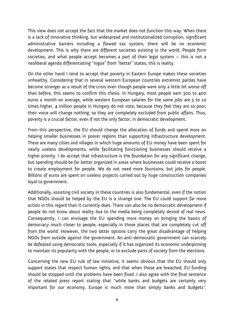This view does not accept the fact that the market does not function this way. When there is a lack of innovative thinking, but widespread and institutionalized corruption, significant administrative barriers including a flawed tax system, there will be no economic development. This is why there are different societies existing in the world. People form societies, and what people accept becomes a part of their legal system – this is not a neoliberal agenda differentiating "rogue" from "better" states, this is reality.

On the other hand I tend to accept that poverty in Eastern Europe makes these societies unhealthy. Considering that in several western European countries extremist parties have become stronger as a result of the crisis even though people were only a little bit worse off than before, this seems to confirm this thesis. In Hungary, most people earn 300 to 400 euros a month on average, while western European salaries for the same jobs are 5 to 10 times higher. 4 million people in Hungary do not vote, because they feel they are so poor, their voice will change nothing: so they are completely excluded from public affairs. Thus, poverty is a crucial factor, even if not the only factor, in democratic development.

From this perspective, the EU should change the allocation of funds and spend more on helping smaller businesses in poorer regions than supporting infrastructure development. There are many cities and villages in which huge amounts of EU money have been spent for nearly useless developments, while facilitating functioning businesses should receive a higher priority. I do accept that infrastructure is the foundation for any significant change, but spending should be far better organized in areas where businesses could receive a boost to create employment for people. We do not need more fountains, but jobs for people. Billions of euros are spent on useless projects carried out by huge construction companies loyal to government.

Additionally, assisting civil society in these countries is also fundamental, even if the notion that NGOs should be helped by the EU is a strange one. The EU could support far more action in this regard than it currently does. There can also be no democratic development if people do not know about reality due to the media being completely devoid of real news. Consequently, I can envisage the EU spending more money on bringing the basics of democracy much closer to people, especially in those places that are completely cut off from the world. However, the two latter options carry the great disadvantage of helping NGOs from outside against the government. An anti-democratic government can scarcely be defeated using democratic tools, especially if it has organized its economic underpinning to maintain its popularity with the people, or to exclude parts of society from the elections.

Concerning the new EU rule of law initiative, it seems obvious that the EU should only support states that respect human rights, and that when those are breached, EU funding should be stopped until the problems have been fixed. I also agree with the final sentence of the related press report stating that "while banks and budgets are certainly very important for our economy, Europe is much more than simply banks and budgets".